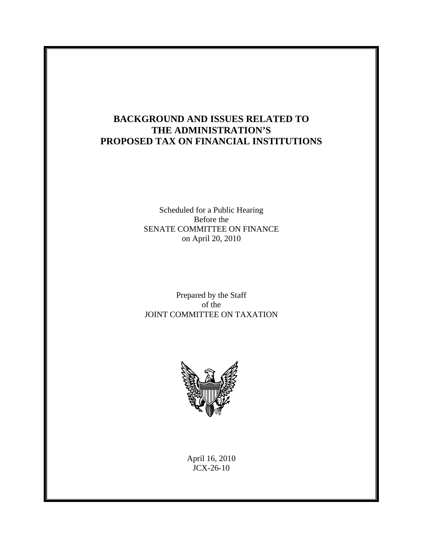# **BACKGROUND AND ISSUES RELATED TO THE ADMINISTRATION'S PROPOSED TAX ON FINANCIAL INSTITUTIONS**

Scheduled for a Public Hearing Before the SENATE COMMITTEE ON FINANCE on April 20, 2010

Prepared by the Staff of the JOINT COMMITTEE ON TAXATION



April 16, 2010 JCX-26-10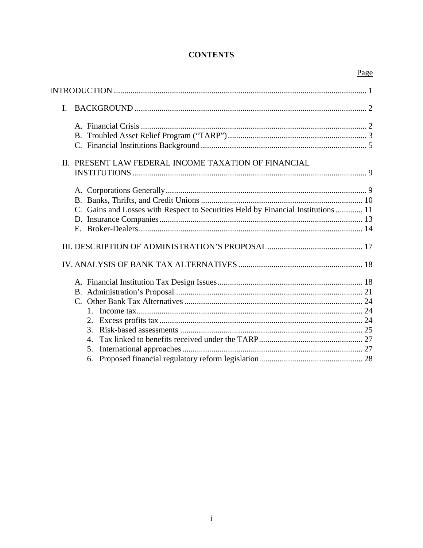# **CONTENTS**

|                                                                                   | Page |
|-----------------------------------------------------------------------------------|------|
|                                                                                   |      |
|                                                                                   |      |
| I.                                                                                |      |
|                                                                                   |      |
|                                                                                   |      |
|                                                                                   |      |
| II. PRESENT LAW FEDERAL INCOME TAXATION OF FINANCIAL                              |      |
|                                                                                   |      |
|                                                                                   |      |
|                                                                                   |      |
|                                                                                   |      |
| C. Gains and Losses with Respect to Securities Held by Financial Institutions  11 |      |
|                                                                                   |      |
|                                                                                   |      |
|                                                                                   |      |
|                                                                                   |      |
|                                                                                   |      |
|                                                                                   |      |
|                                                                                   |      |
| $1_{-}$                                                                           |      |
|                                                                                   |      |
| 3.                                                                                |      |
| 4.                                                                                |      |
| 5.                                                                                |      |
| 6.                                                                                |      |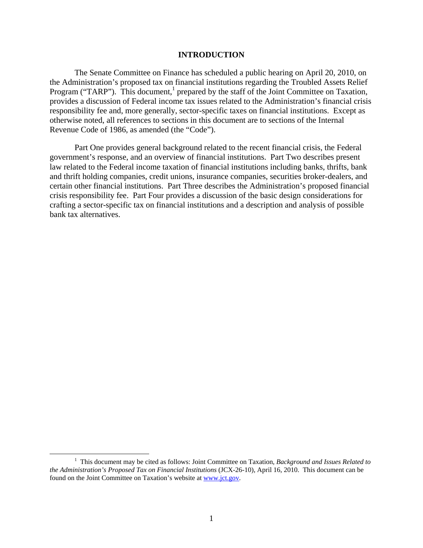#### **INTRODUCTION**

The Senate Committee on Finance has scheduled a public hearing on April 20, 2010, on the Administration's proposed tax on financial institutions regarding the Troubled Assets Relief Program ("TARP"). This document,<sup>1</sup> prepared by the staff of the Joint Committee on Taxation, provides a discussion of Federal income tax issues related to the Administration's financial crisis responsibility fee and, more generally, sector-specific taxes on financial institutions. Except as otherwise noted, all references to sections in this document are to sections of the Internal Revenue Code of 1986, as amended (the "Code").

Part One provides general background related to the recent financial crisis, the Federal government's response, and an overview of financial institutions. Part Two describes present law related to the Federal income taxation of financial institutions including banks, thrifts, bank and thrift holding companies, credit unions, insurance companies, securities broker-dealers, and certain other financial institutions. Part Three describes the Administration's proposed financial crisis responsibility fee. Part Four provides a discussion of the basic design considerations for crafting a sector-specific tax on financial institutions and a description and analysis of possible bank tax alternatives.

 $\frac{1}{1}$  This document may be cited as follows: Joint Committee on Taxation*, Background and Issues Related to the Administration's Proposed Tax on Financial Institutions (JCX-26-10), April 16, 2010. This document can be* found on the Joint Committee on Taxation's website at www.jct.gov.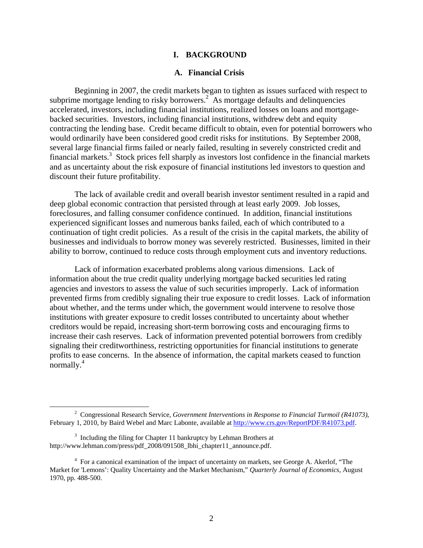## **I. BACKGROUND**

#### **A. Financial Crisis**

Beginning in 2007, the credit markets began to tighten as issues surfaced with respect to subprime mortgage lending to risky borrowers.<sup>2</sup> As mortgage defaults and delinquencies accelerated, investors, including financial institutions, realized losses on loans and mortgagebacked securities. Investors, including financial institutions, withdrew debt and equity contracting the lending base. Credit became difficult to obtain, even for potential borrowers who would ordinarily have been considered good credit risks for institutions. By September 2008, several large financial firms failed or nearly failed, resulting in severely constricted credit and financial markets.<sup>3</sup> Stock prices fell sharply as investors lost confidence in the financial markets and as uncertainty about the risk exposure of financial institutions led investors to question and discount their future profitability.

The lack of available credit and overall bearish investor sentiment resulted in a rapid and deep global economic contraction that persisted through at least early 2009. Job losses, foreclosures, and falling consumer confidence continued. In addition, financial institutions experienced significant losses and numerous banks failed, each of which contributed to a continuation of tight credit policies. As a result of the crisis in the capital markets, the ability of businesses and individuals to borrow money was severely restricted. Businesses, limited in their ability to borrow, continued to reduce costs through employment cuts and inventory reductions.

Lack of information exacerbated problems along various dimensions. Lack of information about the true credit quality underlying mortgage backed securities led rating agencies and investors to assess the value of such securities improperly. Lack of information prevented firms from credibly signaling their true exposure to credit losses. Lack of information about whether, and the terms under which, the government would intervene to resolve those institutions with greater exposure to credit losses contributed to uncertainty about whether creditors would be repaid, increasing short-term borrowing costs and encouraging firms to increase their cash reserves. Lack of information prevented potential borrowers from credibly signaling their creditworthiness, restricting opportunities for financial institutions to generate profits to ease concerns. In the absence of information, the capital markets ceased to function normally.4

 $\frac{1}{2}$  Congressional Research Service, *Government Interventions in Response to Financial Turmoil (R41073)*, February 1, 2010, by Baird Webel and Marc Labonte, available at http://www.crs.gov/ReportPDF/R41073.pdf.

 $3$  Including the filing for Chapter 11 bankruptcy by Lehman Brothers at http://www.lehman.com/press/pdf\_2008/091508\_lbhi\_chapter11\_announce.pdf.

<sup>&</sup>lt;sup>4</sup> For a canonical examination of the impact of uncertainty on markets, see George A. Akerlof, "The Market for 'Lemons': Quality Uncertainty and the Market Mechanism," *Quarterly Journal of Economics*, August 1970, pp. 488-500.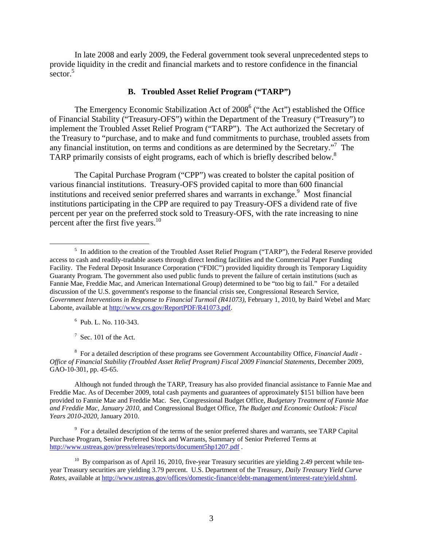In late 2008 and early 2009, the Federal government took several unprecedented steps to provide liquidity in the credit and financial markets and to restore confidence in the financial sector. $5$ 

# **B. Troubled Asset Relief Program ("TARP")**

The Emergency Economic Stabilization Act of 2008<sup>6</sup> ("the Act") established the Office of Financial Stability ("Treasury-OFS") within the Department of the Treasury ("Treasury") to implement the Troubled Asset Relief Program ("TARP"). The Act authorized the Secretary of the Treasury to "purchase, and to make and fund commitments to purchase, troubled assets from any financial institution, on terms and conditions as are determined by the Secretary."7 The TARP primarily consists of eight programs, each of which is briefly described below.<sup>8</sup>

The Capital Purchase Program ("CPP") was created to bolster the capital position of various financial institutions. Treasury-OFS provided capital to more than 600 financial institutions and received senior preferred shares and warrants in exchange.<sup>9</sup> Most financial institutions participating in the CPP are required to pay Treasury-OFS a dividend rate of five percent per year on the preferred stock sold to Treasury-OFS, with the rate increasing to nine percent after the first five years. $10$ 

6 Pub. L. No. 110-343.

 $7$  Sec. 101 of the Act.

8 For a detailed description of these programs see Government Accountability Office, *Financial Audit - Office of Financial Stability (Troubled Asset Relief Program) Fiscal 2009 Financial Statements,* December 2009*,* GAO-10-301, pp. 45-65.

Although not funded through the TARP, Treasury has also provided financial assistance to Fannie Mae and Freddie Mac. As of December 2009, total cash payments and guarantees of approximately \$151 billion have been provided to Fannie Mae and Freddie Mac. See, Congressional Budget Office, *Budgetary Treatment of Fannie Mae and Freddie Mac, January 2010,* and Congressional Budget Office, *The Budget and Economic Outlook: Fiscal Years 2010-2020*, January 2010.

<sup>9</sup> For a detailed description of the terms of the senior preferred shares and warrants, see TARP Capital Purchase Program, Senior Preferred Stock and Warrants, Summary of Senior Preferred Terms at http://www.ustreas.gov/press/releases/reports/document5hp1207.pdf .

 $\frac{1}{5}$ <sup>5</sup> In addition to the creation of the Troubled Asset Relief Program ("TARP"), the Federal Reserve provided access to cash and readily-tradable assets through direct lending facilities and the Commercial Paper Funding Facility. The Federal Deposit Insurance Corporation ("FDIC") provided liquidity through its Temporary Liquidity Guaranty Program. The government also used public funds to prevent the failure of certain institutions (such as Fannie Mae, Freddie Mac, and American International Group) determined to be "too big to fail." For a detailed discussion of the U.S. government's response to the financial crisis see, Congressional Research Service, *Government Interventions in Response to Financial Turmoil (R41073)*, February 1, 2010, by Baird Webel and Marc Labonte, available at http://www.crs.gov/ReportPDF/R41073.pdf.

 $10$  By comparison as of April 16, 2010, five-year Treasury securities are yielding 2.49 percent while tenyear Treasury securities are yielding 3.79 percent. U.S. Department of the Treasury, *Daily Treasury Yield Curve Rates,* available at http://www.ustreas.gov/offices/domestic-finance/debt-management/interest-rate/yield.shtml.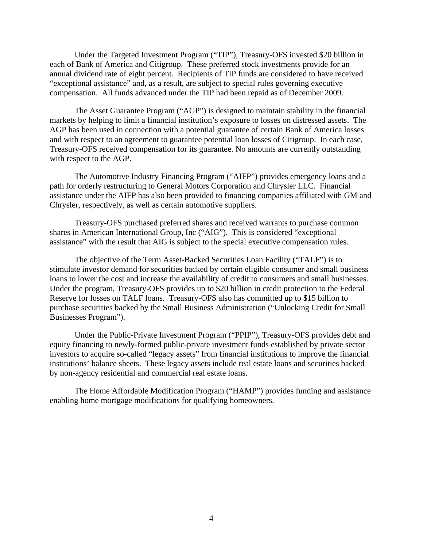Under the Targeted Investment Program ("TIP"), Treasury-OFS invested \$20 billion in each of Bank of America and Citigroup. These preferred stock investments provide for an annual dividend rate of eight percent. Recipients of TIP funds are considered to have received "exceptional assistance" and, as a result, are subject to special rules governing executive compensation. All funds advanced under the TIP had been repaid as of December 2009.

The Asset Guarantee Program ("AGP") is designed to maintain stability in the financial markets by helping to limit a financial institution's exposure to losses on distressed assets. The AGP has been used in connection with a potential guarantee of certain Bank of America losses and with respect to an agreement to guarantee potential loan losses of Citigroup. In each case, Treasury-OFS received compensation for its guarantee. No amounts are currently outstanding with respect to the AGP.

The Automotive Industry Financing Program ("AIFP") provides emergency loans and a path for orderly restructuring to General Motors Corporation and Chrysler LLC. Financial assistance under the AIFP has also been provided to financing companies affiliated with GM and Chrysler, respectively, as well as certain automotive suppliers.

Treasury-OFS purchased preferred shares and received warrants to purchase common shares in American International Group, Inc ("AIG"). This is considered "exceptional assistance" with the result that AIG is subject to the special executive compensation rules.

The objective of the Term Asset-Backed Securities Loan Facility ("TALF") is to stimulate investor demand for securities backed by certain eligible consumer and small business loans to lower the cost and increase the availability of credit to consumers and small businesses. Under the program, Treasury-OFS provides up to \$20 billion in credit protection to the Federal Reserve for losses on TALF loans. Treasury-OFS also has committed up to \$15 billion to purchase securities backed by the Small Business Administration ("Unlocking Credit for Small Businesses Program").

Under the Public-Private Investment Program ("PPIP"), Treasury-OFS provides debt and equity financing to newly-formed public-private investment funds established by private sector investors to acquire so-called "legacy assets" from financial institutions to improve the financial institutions' balance sheets. These legacy assets include real estate loans and securities backed by non-agency residential and commercial real estate loans.

The Home Affordable Modification Program ("HAMP") provides funding and assistance enabling home mortgage modifications for qualifying homeowners.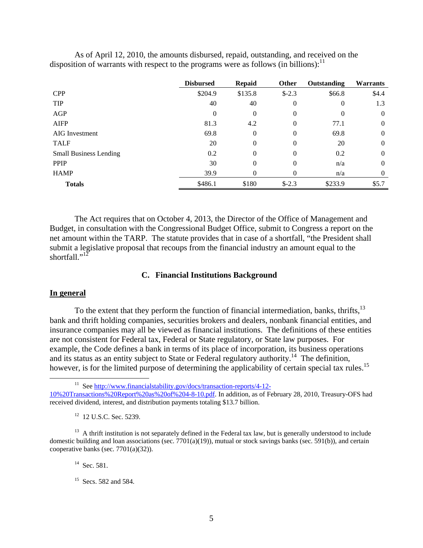|                               | <b>Disbursed</b> | Repaid   | <b>Other</b> | Outstanding | <b>Warrants</b> |
|-------------------------------|------------------|----------|--------------|-------------|-----------------|
| <b>CPP</b>                    | \$204.9          | \$135.8  | $$-2.3$      | \$66.8      | \$4.4           |
| <b>TIP</b>                    | 40               | 40       | 0            | $\theta$    | 1.3             |
| AGP                           | $\theta$         | $\theta$ | 0            | $\Omega$    | $\theta$        |
| <b>AIFP</b>                   | 81.3             | 4.2      | 0            | 77.1        | $\theta$        |
| <b>AIG</b> Investment         | 69.8             | $\theta$ | 0            | 69.8        | $\theta$        |
| <b>TALF</b>                   | 20               | $\theta$ | 0            | 20          | $\theta$        |
| <b>Small Business Lending</b> | 0.2              | $\Omega$ | 0            | 0.2         | $\theta$        |
| <b>PPIP</b>                   | 30               | 0        | 0            | n/a         | $\theta$        |
| <b>HAMP</b>                   | 39.9             | 0        | 0            | n/a         | $\theta$        |
| <b>Totals</b>                 | \$486.1          | \$180    | $$-2.3$      | \$233.9     | \$5.7           |

As of April 12, 2010, the amounts disbursed, repaid, outstanding, and received on the disposition of warrants with respect to the programs were as follows (in billions):  $11$ 

The Act requires that on October 4, 2013, the Director of the Office of Management and Budget, in consultation with the Congressional Budget Office, submit to Congress a report on the net amount within the TARP. The statute provides that in case of a shortfall, "the President shall submit a legislative proposal that recoups from the financial industry an amount equal to the shortfall." $12$ 

## **C. Financial Institutions Background**

## **In general**

To the extent that they perform the function of financial intermediation, banks, thrifts,  $13$ bank and thrift holding companies, securities brokers and dealers, nonbank financial entities, and insurance companies may all be viewed as financial institutions. The definitions of these entities are not consistent for Federal tax, Federal or State regulatory, or State law purposes. For example, the Code defines a bank in terms of its place of incorporation, its business operations and its status as an entity subject to State or Federal regulatory authority.<sup>14</sup> The definition, however, is for the limited purpose of determining the applicability of certain special tax rules.<sup>15</sup>

<sup>11</sup> See http://www.financialstability.gov/docs/transaction-reports/4-12-10%20Transactions%20Report%20as%20of%204-8-10.pdf. In addition, as of February 28, 2010, Treasury-OFS had received dividend, interest, and distribution payments totaling \$13.7 billion.

 $14$  Sec. 581.

<sup>12 12</sup> U.S.C. Sec. 5239.

 $13$  A thrift institution is not separately defined in the Federal tax law, but is generally understood to include domestic building and loan associations (sec. 7701(a)(19)), mutual or stock savings banks (sec. 591(b)), and certain cooperative banks (sec. 7701(a)(32)).

<sup>&</sup>lt;sup>15</sup> Secs. 582 and 584.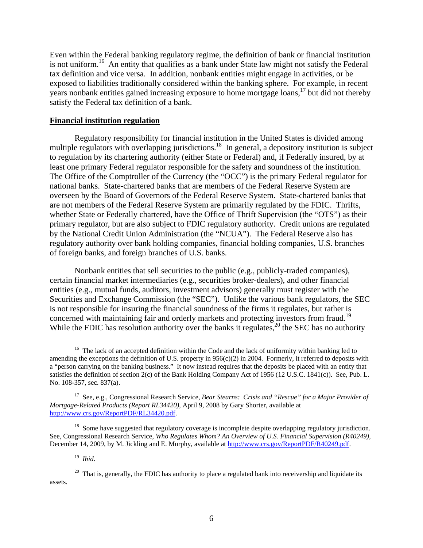Even within the Federal banking regulatory regime, the definition of bank or financial institution is not uniform.<sup>16</sup> An entity that qualifies as a bank under State law might not satisfy the Federal tax definition and vice versa. In addition, nonbank entities might engage in activities, or be exposed to liabilities traditionally considered within the banking sphere. For example, in recent years nonbank entities gained increasing exposure to home mortgage loans,<sup>17</sup> but did not thereby satisfy the Federal tax definition of a bank.

#### **Financial institution regulation**

Regulatory responsibility for financial institution in the United States is divided among multiple regulators with overlapping jurisdictions.<sup>18</sup> In general, a depository institution is subject to regulation by its chartering authority (either State or Federal) and, if Federally insured, by at least one primary Federal regulator responsible for the safety and soundness of the institution. The Office of the Comptroller of the Currency (the "OCC") is the primary Federal regulator for national banks. State-chartered banks that are members of the Federal Reserve System are overseen by the Board of Governors of the Federal Reserve System. State-chartered banks that are not members of the Federal Reserve System are primarily regulated by the FDIC. Thrifts, whether State or Federally chartered, have the Office of Thrift Supervision (the "OTS") as their primary regulator, but are also subject to FDIC regulatory authority. Credit unions are regulated by the National Credit Union Administration (the "NCUA"). The Federal Reserve also has regulatory authority over bank holding companies, financial holding companies, U.S. branches of foreign banks, and foreign branches of U.S. banks.

Nonbank entities that sell securities to the public (e.g., publicly-traded companies), certain financial market intermediaries (e.g., securities broker-dealers), and other financial entities (e.g., mutual funds, auditors, investment advisors) generally must register with the Securities and Exchange Commission (the "SEC"). Unlike the various bank regulators, the SEC is not responsible for insuring the financial soundness of the firms it regulates, but rather is concerned with maintaining fair and orderly markets and protecting investors from fraud.<sup>19</sup> While the FDIC has resolution authority over the banks it regulates,<sup>20</sup> the SEC has no authority

<sup>&</sup>lt;sup>16</sup> The lack of an accepted definition within the Code and the lack of uniformity within banking led to amending the exceptions the definition of U.S. property in  $956(c)(2)$  in 2004. Formerly, it referred to deposits with a "person carrying on the banking business." It now instead requires that the deposits be placed with an entity that satisfies the definition of section 2(c) of the Bank Holding Company Act of 1956 (12 U.S.C. 1841(c)). See, Pub. L. No. 108-357, sec. 837(a).

<sup>17</sup> See, e.g., Congressional Research Service, *Bear Stearns: Crisis and "Rescue" for a Major Provider of Mortgage-Related Products (Report RL34420)*, April 9, 2008 by Gary Shorter, available at http://www.crs.gov/ReportPDF/RL34420.pdf.

<sup>&</sup>lt;sup>18</sup> Some have suggested that regulatory coverage is incomplete despite overlapping regulatory jurisdiction. See, Congressional Research Service, *Who Regulates Whom? An Overview of U.S. Financial Supervision (R40249),* December 14, 2009, by M. Jickling and E. Murphy, available at http://www.crs.gov/ReportPDF/R40249.pdf.

<sup>19</sup> *Ibid*.

 $20$  That is, generally, the FDIC has authority to place a regulated bank into receivership and liquidate its assets.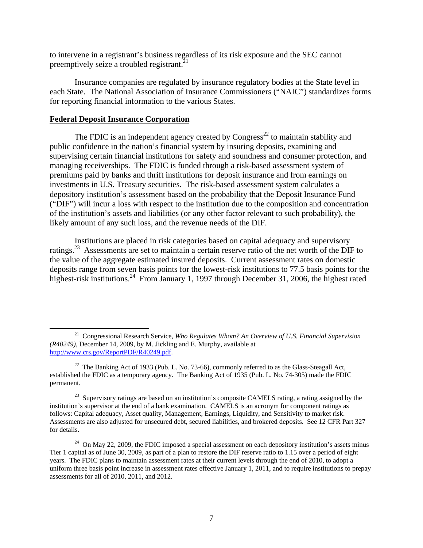to intervene in a registrant's business regardless of its risk exposure and the SEC cannot preemptively seize a troubled registrant.<sup>21</sup>

Insurance companies are regulated by insurance regulatory bodies at the State level in each State. The National Association of Insurance Commissioners ("NAIC") standardizes forms for reporting financial information to the various States.

#### **Federal Deposit Insurance Corporation**

The FDIC is an independent agency created by  $Congress<sup>22</sup>$  to maintain stability and public confidence in the nation's financial system by insuring deposits, examining and supervising certain financial institutions for safety and soundness and consumer protection, and managing receiverships. The FDIC is funded through a risk-based assessment system of premiums paid by banks and thrift institutions for deposit insurance and from earnings on investments in U.S. Treasury securities. The risk-based assessment system calculates a depository institution's assessment based on the probability that the Deposit Insurance Fund ("DIF") will incur a loss with respect to the institution due to the composition and concentration of the institution's assets and liabilities (or any other factor relevant to such probability), the likely amount of any such loss, and the revenue needs of the DIF.

Institutions are placed in risk categories based on capital adequacy and supervisory ratings.<sup>23</sup> Assessments are set to maintain a certain reserve ratio of the net worth of the DIF to the value of the aggregate estimated insured deposits. Current assessment rates on domestic deposits range from seven basis points for the lowest-risk institutions to 77.5 basis points for the highest-risk institutions.<sup>24</sup> From January 1, 1997 through December 31, 2006, the highest rated

 <sup>21</sup> Congressional Research Service, *Who Regulates Whom? An Overview of U.S. Financial Supervision (R40249),* December 14, 2009, by M. Jickling and E. Murphy, available at http://www.crs.gov/ReportPDF/R40249.pdf.

<sup>&</sup>lt;sup>22</sup> The Banking Act of 1933 (Pub. L. No. 73-66), commonly referred to as the Glass-Steagall Act, established the FDIC as a temporary agency. The Banking Act of 1935 (Pub. L. No. 74-305) made the FDIC permanent.

<sup>&</sup>lt;sup>23</sup> Supervisory ratings are based on an institution's composite CAMELS rating, a rating assigned by the institution's supervisor at the end of a bank examination. CAMELS is an acronym for component ratings as follows: Capital adequacy, Asset quality, Management, Earnings, Liquidity, and Sensitivity to market risk. Assessments are also adjusted for unsecured debt, secured liabilities, and brokered deposits. See 12 CFR Part 327 for details.

 $24$  On May 22, 2009, the FDIC imposed a special assessment on each depository institution's assets minus Tier 1 capital as of June 30, 2009, as part of a plan to restore the DIF reserve ratio to 1.15 over a period of eight years. The FDIC plans to maintain assessment rates at their current levels through the end of 2010, to adopt a uniform three basis point increase in assessment rates effective January 1, 2011, and to require institutions to prepay assessments for all of 2010, 2011, and 2012.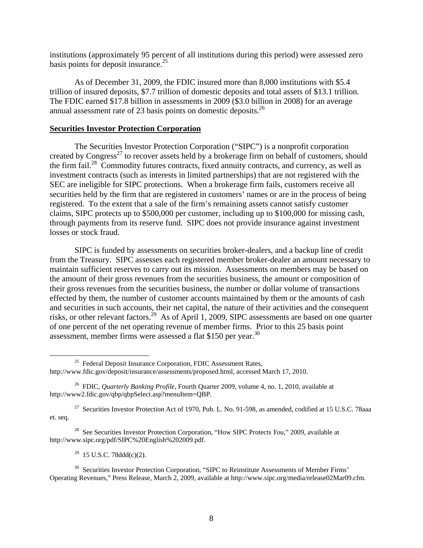institutions (approximately 95 percent of all institutions during this period) were assessed zero basis points for deposit insurance. $25$ 

As of December 31, 2009, the FDIC insured more than 8,000 institutions with \$5.4 trillion of insured deposits, \$7.7 trillion of domestic deposits and total assets of \$13.1 trillion. The FDIC earned \$17.8 billion in assessments in 2009 (\$3.0 billion in 2008) for an average annual assessment rate of 23 basis points on domestic deposits.<sup>26</sup>

#### **Securities Investor Protection Corporation**

The Securities Investor Protection Corporation ("SIPC") is a nonprofit corporation created by Congress<sup>27</sup> to recover assets held by a brokerage firm on behalf of customers, should the firm fail.<sup>28</sup> Commodity futures contracts, fixed annuity contracts, and currency, as well as investment contracts (such as interests in limited partnerships) that are not registered with the SEC are ineligible for SIPC protections. When a brokerage firm fails, customers receive all securities held by the firm that are registered in customers' names or are in the process of being registered. To the extent that a sale of the firm's remaining assets cannot satisfy customer claims, SIPC protects up to \$500,000 per customer, including up to \$100,000 for missing cash, through payments from its reserve fund. SIPC does not provide insurance against investment losses or stock fraud.

SIPC is funded by assessments on securities broker-dealers, and a backup line of credit from the Treasury. SIPC assesses each registered member broker-dealer an amount necessary to maintain sufficient reserves to carry out its mission. Assessments on members may be based on the amount of their gross revenues from the securities business, the amount or composition of their gross revenues from the securities business, the number or dollar volume of transactions effected by them, the number of customer accounts maintained by them or the amounts of cash and securities in such accounts, their net capital, the nature of their activities and the consequent risks, or other relevant factors.<sup>29</sup> As of April 1, 2009, SIPC assessments are based on one quarter of one percent of the net operating revenue of member firms. Prior to this 25 basis point assessment, member firms were assessed a flat \$150 per year.<sup>30</sup>

28 See Securities Investor Protection Corporation, "How SIPC Protects *You*," 2009, available at http://www.sipc.org/pdf/SIPC%20English%202009.pdf.

 $29$  15 U.S.C. 78ddd(c)(2).

<sup>30</sup> Securities Investor Protection Corporation, "SIPC to Reinstitute Assessments of Member Firms' Operating Revenues," Press Release, March 2, 2009, available at http://www.sipc.org/media/release02Mar09.cfm.

<sup>&</sup>lt;sup>25</sup> Federal Deposit Insurance Corporation, FDIC Assessment Rates, http://www.fdic.gov/deposit/insurance/assessments/proposed.html, accessed March 17, 2010.

<sup>26</sup> FDIC, *Quarterly Banking Profile*, Fourth Quarter 2009, volume 4, no. 1, 2010, available at http://www2.fdic.gov/qbp/qbpSelect.asp?menuItem=QBP.

<sup>&</sup>lt;sup>27</sup> Securities Investor Protection Act of 1970, Pub. L. No. 91-598, as amended, codified at 15 U.S.C. 78aaa et. seq.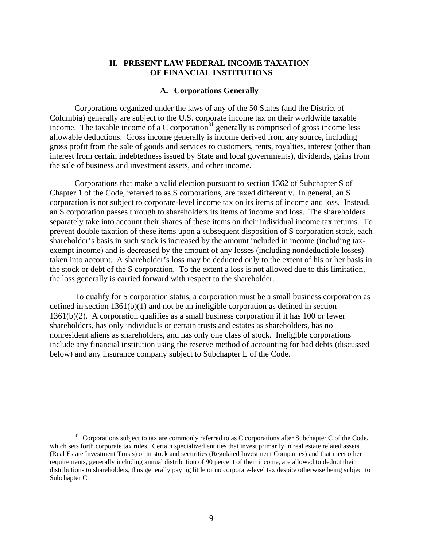## **II. PRESENT LAW FEDERAL INCOME TAXATION OF FINANCIAL INSTITUTIONS**

#### **A. Corporations Generally**

Corporations organized under the laws of any of the 50 States (and the District of Columbia) generally are subject to the U.S. corporate income tax on their worldwide taxable income. The taxable income of a C corporation $a^{31}$  generally is comprised of gross income less allowable deductions. Gross income generally is income derived from any source, including gross profit from the sale of goods and services to customers, rents, royalties, interest (other than interest from certain indebtedness issued by State and local governments), dividends, gains from the sale of business and investment assets, and other income.

Corporations that make a valid election pursuant to section 1362 of Subchapter S of Chapter 1 of the Code, referred to as S corporations, are taxed differently. In general, an S corporation is not subject to corporate-level income tax on its items of income and loss. Instead, an S corporation passes through to shareholders its items of income and loss. The shareholders separately take into account their shares of these items on their individual income tax returns. To prevent double taxation of these items upon a subsequent disposition of S corporation stock, each shareholder's basis in such stock is increased by the amount included in income (including taxexempt income) and is decreased by the amount of any losses (including nondeductible losses) taken into account. A shareholder's loss may be deducted only to the extent of his or her basis in the stock or debt of the S corporation. To the extent a loss is not allowed due to this limitation, the loss generally is carried forward with respect to the shareholder.

To qualify for S corporation status, a corporation must be a small business corporation as defined in section 1361(b)(1) and not be an ineligible corporation as defined in section 1361(b)(2). A corporation qualifies as a small business corporation if it has 100 or fewer shareholders, has only individuals or certain trusts and estates as shareholders, has no nonresident aliens as shareholders, and has only one class of stock. Ineligible corporations include any financial institution using the reserve method of accounting for bad debts (discussed below) and any insurance company subject to Subchapter L of the Code.

<sup>&</sup>lt;sup>31</sup> Corporations subject to tax are commonly referred to as C corporations after Subchapter C of the Code, which sets forth corporate tax rules. Certain specialized entities that invest primarily in real estate related assets (Real Estate Investment Trusts) or in stock and securities (Regulated Investment Companies) and that meet other requirements, generally including annual distribution of 90 percent of their income, are allowed to deduct their distributions to shareholders, thus generally paying little or no corporate-level tax despite otherwise being subject to Subchapter C.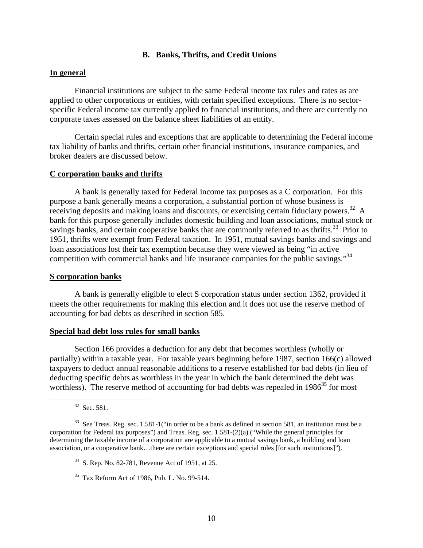## **B. Banks, Thrifts, and Credit Unions**

## **In general**

Financial institutions are subject to the same Federal income tax rules and rates as are applied to other corporations or entities, with certain specified exceptions. There is no sectorspecific Federal income tax currently applied to financial institutions, and there are currently no corporate taxes assessed on the balance sheet liabilities of an entity.

Certain special rules and exceptions that are applicable to determining the Federal income tax liability of banks and thrifts, certain other financial institutions, insurance companies, and broker dealers are discussed below.

#### **C corporation banks and thrifts**

A bank is generally taxed for Federal income tax purposes as a C corporation. For this purpose a bank generally means a corporation, a substantial portion of whose business is receiving deposits and making loans and discounts, or exercising certain fiduciary powers.<sup>32</sup> A bank for this purpose generally includes domestic building and loan associations, mutual stock or savings banks, and certain cooperative banks that are commonly referred to as thrifts.<sup>33</sup> Prior to 1951, thrifts were exempt from Federal taxation. In 1951, mutual savings banks and savings and loan associations lost their tax exemption because they were viewed as being "in active competition with commercial banks and life insurance companies for the public savings."<sup>34</sup>

#### **S corporation banks**

A bank is generally eligible to elect S corporation status under section 1362, provided it meets the other requirements for making this election and it does not use the reserve method of accounting for bad debts as described in section 585.

## **Special bad debt loss rules for small banks**

Section 166 provides a deduction for any debt that becomes worthless (wholly or partially) within a taxable year. For taxable years beginning before 1987, section 166(c) allowed taxpayers to deduct annual reasonable additions to a reserve established for bad debts (in lieu of deducting specific debts as worthless in the year in which the bank determined the debt was worthless). The reserve method of accounting for bad debts was repealed in  $1986^{35}$  for most

 $32$  Sec. 581.

 $33$  See Treas. Reg. sec. 1.581-1("in order to be a bank as defined in section 581, an institution must be a corporation for Federal tax purposes") and Treas. Reg. sec. 1.581-(2)(a) ("While the general principles for determining the taxable income of a corporation are applicable to a mutual savings bank, a building and loan association, or a cooperative bank…there are certain exceptions and special rules [for such institutions]").

<sup>34</sup> S. Rep. No. 82-781, Revenue Act of 1951, at 25.

<sup>35</sup> Tax Reform Act of 1986, Pub. L. No. 99-514.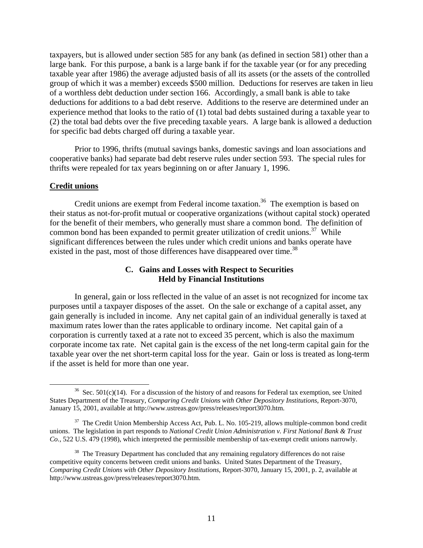taxpayers, but is allowed under section 585 for any bank (as defined in section 581) other than a large bank. For this purpose, a bank is a large bank if for the taxable year (or for any preceding taxable year after 1986) the average adjusted basis of all its assets (or the assets of the controlled group of which it was a member) exceeds \$500 million. Deductions for reserves are taken in lieu of a worthless debt deduction under section 166. Accordingly, a small bank is able to take deductions for additions to a bad debt reserve. Additions to the reserve are determined under an experience method that looks to the ratio of (1) total bad debts sustained during a taxable year to (2) the total bad debts over the five preceding taxable years. A large bank is allowed a deduction for specific bad debts charged off during a taxable year.

Prior to 1996, thrifts (mutual savings banks, domestic savings and loan associations and cooperative banks) had separate bad debt reserve rules under section 593. The special rules for thrifts were repealed for tax years beginning on or after January 1, 1996.

#### **Credit unions**

Credit unions are exempt from Federal income taxation.<sup>36</sup> The exemption is based on their status as not-for-profit mutual or cooperative organizations (without capital stock) operated for the benefit of their members, who generally must share a common bond. The definition of common bond has been expanded to permit greater utilization of credit unions.<sup>37</sup> While significant differences between the rules under which credit unions and banks operate have existed in the past, most of those differences have disappeared over time.<sup>38</sup>

# **C. Gains and Losses with Respect to Securities Held by Financial Institutions**

In general, gain or loss reflected in the value of an asset is not recognized for income tax purposes until a taxpayer disposes of the asset. On the sale or exchange of a capital asset, any gain generally is included in income. Any net capital gain of an individual generally is taxed at maximum rates lower than the rates applicable to ordinary income. Net capital gain of a corporation is currently taxed at a rate not to exceed 35 percent, which is also the maximum corporate income tax rate. Net capital gain is the excess of the net long-term capital gain for the taxable year over the net short-term capital loss for the year. Gain or loss is treated as long-term if the asset is held for more than one year.

 $36$  Sec. 501(c)(14). For a discussion of the history of and reasons for Federal tax exemption, see United States Department of the Treasury, *Comparing Credit Unions with Other Depository Institutions,* Report-3070, January 15, 2001, available at http://www.ustreas.gov/press/releases/report3070.htm.

<sup>&</sup>lt;sup>37</sup> The Credit Union Membership Access Act, Pub. L. No. 105-219, allows multiple-common bond credit unions. The legislation in part responds to *National Credit Union Administration v. First National Bank & Trust Co.*, 522 U.S. 479 (1998), which interpreted the permissible membership of tax-exempt credit unions narrowly.

<sup>&</sup>lt;sup>38</sup> The Treasury Department has concluded that any remaining regulatory differences do not raise competitive equity concerns between credit unions and banks. United States Department of the Treasury, *Comparing Credit Unions with Other Depository Institutions,* Report-3070, January 15, 2001, p. 2, available at http://www.ustreas.gov/press/releases/report3070.htm.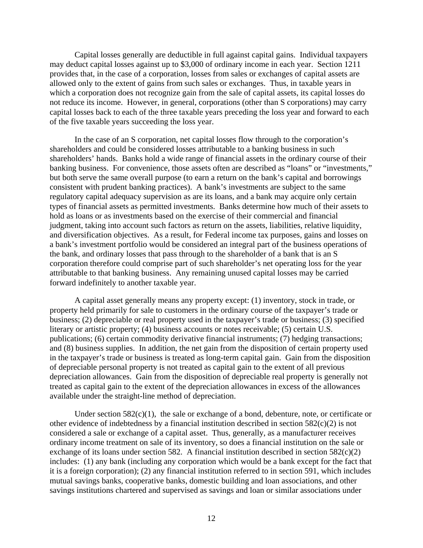Capital losses generally are deductible in full against capital gains. Individual taxpayers may deduct capital losses against up to \$3,000 of ordinary income in each year. Section 1211 provides that, in the case of a corporation, losses from sales or exchanges of capital assets are allowed only to the extent of gains from such sales or exchanges. Thus, in taxable years in which a corporation does not recognize gain from the sale of capital assets, its capital losses do not reduce its income. However, in general, corporations (other than S corporations) may carry capital losses back to each of the three taxable years preceding the loss year and forward to each of the five taxable years succeeding the loss year.

In the case of an S corporation, net capital losses flow through to the corporation's shareholders and could be considered losses attributable to a banking business in such shareholders' hands. Banks hold a wide range of financial assets in the ordinary course of their banking business. For convenience, those assets often are described as "loans" or "investments," but both serve the same overall purpose (to earn a return on the bank's capital and borrowings consistent with prudent banking practices). A bank's investments are subject to the same regulatory capital adequacy supervision as are its loans, and a bank may acquire only certain types of financial assets as permitted investments. Banks determine how much of their assets to hold as loans or as investments based on the exercise of their commercial and financial judgment, taking into account such factors as return on the assets, liabilities, relative liquidity, and diversification objectives. As a result, for Federal income tax purposes, gains and losses on a bank's investment portfolio would be considered an integral part of the business operations of the bank, and ordinary losses that pass through to the shareholder of a bank that is an S corporation therefore could comprise part of such shareholder's net operating loss for the year attributable to that banking business. Any remaining unused capital losses may be carried forward indefinitely to another taxable year.

A capital asset generally means any property except: (1) inventory, stock in trade, or property held primarily for sale to customers in the ordinary course of the taxpayer's trade or business; (2) depreciable or real property used in the taxpayer's trade or business; (3) specified literary or artistic property; (4) business accounts or notes receivable; (5) certain U.S. publications; (6) certain commodity derivative financial instruments; (7) hedging transactions; and (8) business supplies. In addition, the net gain from the disposition of certain property used in the taxpayer's trade or business is treated as long-term capital gain. Gain from the disposition of depreciable personal property is not treated as capital gain to the extent of all previous depreciation allowances. Gain from the disposition of depreciable real property is generally not treated as capital gain to the extent of the depreciation allowances in excess of the allowances available under the straight-line method of depreciation.

Under section  $582(c)(1)$ , the sale or exchange of a bond, debenture, note, or certificate or other evidence of indebtedness by a financial institution described in section 582(c)(2) is not considered a sale or exchange of a capital asset. Thus, generally, as a manufacturer receives ordinary income treatment on sale of its inventory, so does a financial institution on the sale or exchange of its loans under section 582. A financial institution described in section  $582(c)(2)$ includes: (1) any bank (including any corporation which would be a bank except for the fact that it is a foreign corporation); (2) any financial institution referred to in section 591, which includes mutual savings banks, cooperative banks, domestic building and loan associations, and other savings institutions chartered and supervised as savings and loan or similar associations under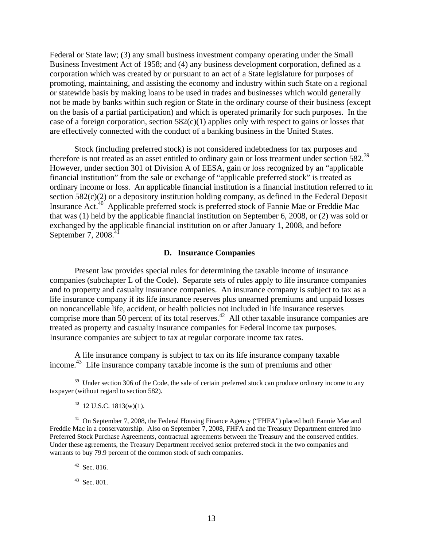Federal or State law; (3) any small business investment company operating under the Small Business Investment Act of 1958; and (4) any business development corporation, defined as a corporation which was created by or pursuant to an act of a State legislature for purposes of promoting, maintaining, and assisting the economy and industry within such State on a regional or statewide basis by making loans to be used in trades and businesses which would generally not be made by banks within such region or State in the ordinary course of their business (except on the basis of a partial participation) and which is operated primarily for such purposes. In the case of a foreign corporation, section  $582(c)(1)$  applies only with respect to gains or losses that are effectively connected with the conduct of a banking business in the United States.

Stock (including preferred stock) is not considered indebtedness for tax purposes and therefore is not treated as an asset entitled to ordinary gain or loss treatment under section 582.39 However, under section 301 of Division A of EESA, gain or loss recognized by an "applicable financial institution" from the sale or exchange of "applicable preferred stock" is treated as ordinary income or loss. An applicable financial institution is a financial institution referred to in section 582(c)(2) or a depository institution holding company, as defined in the Federal Deposit Insurance Act.40 Applicable preferred stock is preferred stock of Fannie Mae or Freddie Mac that was (1) held by the applicable financial institution on September 6, 2008, or (2) was sold or exchanged by the applicable financial institution on or after January 1, 2008, and before September 7,  $2008<sup>4</sup>$ 

#### **D. Insurance Companies**

Present law provides special rules for determining the taxable income of insurance companies (subchapter L of the Code). Separate sets of rules apply to life insurance companies and to property and casualty insurance companies. An insurance company is subject to tax as a life insurance company if its life insurance reserves plus unearned premiums and unpaid losses on noncancellable life, accident, or health policies not included in life insurance reserves comprise more than 50 percent of its total reserves.<sup>42</sup> All other taxable insurance companies are treated as property and casualty insurance companies for Federal income tax purposes. Insurance companies are subject to tax at regular corporate income tax rates.

A life insurance company is subject to tax on its life insurance company taxable income.<sup>43</sup> Life insurance company taxable income is the sum of premiums and other

 $^{40}$  12 U.S.C. 1813(w)(1).

<sup>41</sup> On September 7, 2008, the Federal Housing Finance Agency ("FHFA") placed both Fannie Mae and Freddie Mac in a conservatorship. Also on September 7, 2008, FHFA and the Treasury Department entered into Preferred Stock Purchase Agreements, contractual agreements between the Treasury and the conserved entities. Under these agreements, the Treasury Department received senior preferred stock in the two companies and warrants to buy 79.9 percent of the common stock of such companies.

 $42$  Sec. 816.

43 Sec. 801.

<sup>&</sup>lt;sup>39</sup> Under section 306 of the Code, the sale of certain preferred stock can produce ordinary income to any taxpayer (without regard to section 582).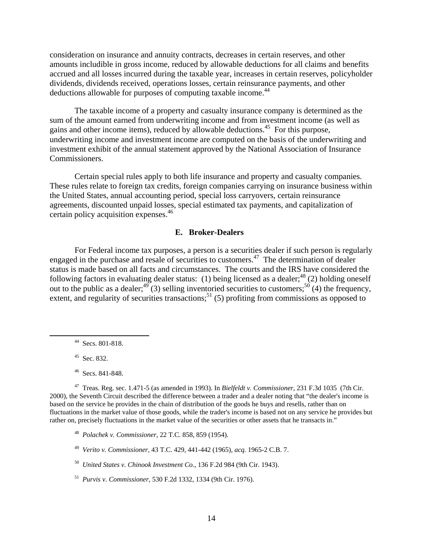consideration on insurance and annuity contracts, decreases in certain reserves, and other amounts includible in gross income, reduced by allowable deductions for all claims and benefits accrued and all losses incurred during the taxable year, increases in certain reserves, policyholder dividends, dividends received, operations losses, certain reinsurance payments, and other deductions allowable for purposes of computing taxable income.<sup>44</sup>

The taxable income of a property and casualty insurance company is determined as the sum of the amount earned from underwriting income and from investment income (as well as gains and other income items), reduced by allowable deductions.45 For this purpose, underwriting income and investment income are computed on the basis of the underwriting and investment exhibit of the annual statement approved by the National Association of Insurance Commissioners.

Certain special rules apply to both life insurance and property and casualty companies. These rules relate to foreign tax credits, foreign companies carrying on insurance business within the United States, annual accounting period, special loss carryovers, certain reinsurance agreements, discounted unpaid losses, special estimated tax payments, and capitalization of certain policy acquisition expenses.46

#### **E. Broker-Dealers**

For Federal income tax purposes, a person is a securities dealer if such person is regularly engaged in the purchase and resale of securities to customers.<sup>47</sup> The determination of dealer status is made based on all facts and circumstances. The courts and the IRS have considered the following factors in evaluating dealer status: (1) being licensed as a dealer;<sup>48</sup> (2) holding oneself out to the public as a dealer;  $49(3)$  selling inventoried securities to customers;  $50(4)$  the frequency, extent, and regularity of securities transactions;<sup>51</sup> (5) profiting from commissions as opposed to

<sup>45</sup> Sec. 832.

47 Treas. Reg. sec. 1.471-5 (as amended in 1993). In *Bielfeldt v. Commissioner*, 231 F.3d 1035 (7th Cir. 2000), the Seventh Circuit described the difference between a trader and a dealer noting that "the dealer's income is based on the service he provides in the chain of distribution of the goods he buys and resells, rather than on fluctuations in the market value of those goods, while the trader's income is based not on any service he provides but rather on, precisely fluctuations in the market value of the securities or other assets that he transacts in."

- 48 *Polachek v. Commissioner,* 22 T.C. 858, 859 (1954).
- 49 *Verito v. Commissioner,* 43 T.C. 429, 441-442 (1965), *acq.* 1965-2 C.B. 7.
- 50 *United States v. Chinook Investment Co.,* 136 F.2d 984 (9th Cir. 1943).
- 51 *Purvis v. Commissioner,* 530 F.2d 1332, 1334 (9th Cir. 1976).

 <sup>44</sup> Secs. 801-818.

<sup>46</sup> Secs. 841-848.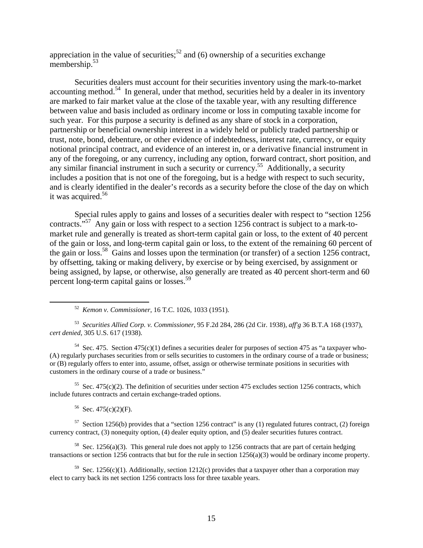appreciation in the value of securities;<sup>52</sup> and (6) ownership of a securities exchange membership.<sup>53</sup>

Securities dealers must account for their securities inventory using the mark-to-market accounting method.<sup>54</sup> In general, under that method, securities held by a dealer in its inventory are marked to fair market value at the close of the taxable year, with any resulting difference between value and basis included as ordinary income or loss in computing taxable income for such year. For this purpose a security is defined as any share of stock in a corporation, partnership or beneficial ownership interest in a widely held or publicly traded partnership or trust, note, bond, debenture, or other evidence of indebtedness, interest rate, currency, or equity notional principal contract, and evidence of an interest in, or a derivative financial instrument in any of the foregoing, or any currency, including any option, forward contract, short position, and any similar financial instrument in such a security or currency.55 Additionally, a security includes a position that is not one of the foregoing, but is a hedge with respect to such security, and is clearly identified in the dealer's records as a security before the close of the day on which it was acquired.<sup>56</sup>

Special rules apply to gains and losses of a securities dealer with respect to "section 1256 contracts."57 Any gain or loss with respect to a section 1256 contract is subject to a mark-tomarket rule and generally is treated as short-term capital gain or loss, to the extent of 40 percent of the gain or loss, and long-term capital gain or loss, to the extent of the remaining 60 percent of the gain or loss.58 Gains and losses upon the termination (or transfer) of a section 1256 contract, by offsetting, taking or making delivery, by exercise or by being exercised, by assignment or being assigned, by lapse, or otherwise, also generally are treated as 40 percent short-term and 60 percent long-term capital gains or losses.<sup>59</sup>

52 *Kemon v. Commissioner*, 16 T.C. 1026, 1033 (1951).

53 *Securities Allied Corp. v. Commissioner*, 95 F.2d 284, 286 (2d Cir. 1938), *aff'g* 36 B.T.A 168 (1937), *cert denied*, 305 U.S. 617 (1938).

<sup>54</sup> Sec. 475. Section 475(c)(1) defines a securities dealer for purposes of section 475 as "a taxpayer who-(A) regularly purchases securities from or sells securities to customers in the ordinary course of a trade or business; or (B) regularly offers to enter into, assume, offset, assign or otherwise terminate positions in securities with customers in the ordinary course of a trade or business."

<sup>55</sup> Sec. 475(c)(2). The definition of securities under section 475 excludes section 1256 contracts, which include futures contracts and certain exchange-traded options.

 $56$  Sec. 475(c)(2)(F).

<sup>57</sup> Section 1256(b) provides that a "section 1256 contract" is any (1) regulated futures contract, (2) foreign currency contract, (3) nonequity option, (4) dealer equity option, and (5) dealer securities futures contract.

<sup>58</sup> Sec. 1256(a)(3). This general rule does not apply to 1256 contracts that are part of certain hedging transactions or section 1256 contracts that but for the rule in section 1256(a)(3) would be ordinary income property.

<sup>59</sup> Sec. 1256(c)(1). Additionally, section 1212(c) provides that a taxpayer other than a corporation may elect to carry back its net section 1256 contracts loss for three taxable years.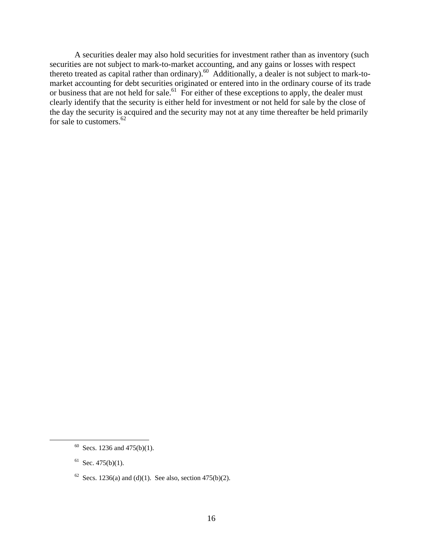A securities dealer may also hold securities for investment rather than as inventory (such securities are not subject to mark-to-market accounting, and any gains or losses with respect thereto treated as capital rather than ordinary).<sup>60</sup> Additionally, a dealer is not subject to mark-tomarket accounting for debt securities originated or entered into in the ordinary course of its trade or business that are not held for sale.<sup>61</sup> For either of these exceptions to apply, the dealer must clearly identify that the security is either held for investment or not held for sale by the close of the day the security is acquired and the security may not at any time thereafter be held primarily for sale to customers.<sup>62</sup>

 $61$  Sec. 475(b)(1).

<sup>&</sup>lt;sup>60</sup> Secs. 1236 and 475(b)(1).

<sup>&</sup>lt;sup>62</sup> Secs. 1236(a) and (d)(1). See also, section 475(b)(2).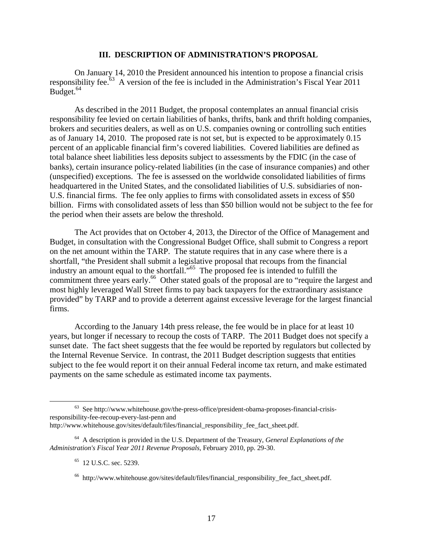#### **III. DESCRIPTION OF ADMINISTRATION'S PROPOSAL**

On January 14, 2010 the President announced his intention to propose a financial crisis responsibility fee.<sup>63</sup> A version of the fee is included in the Administration's Fiscal Year 2011 Budget.<sup>64</sup>

As described in the 2011 Budget, the proposal contemplates an annual financial crisis responsibility fee levied on certain liabilities of banks, thrifts, bank and thrift holding companies, brokers and securities dealers, as well as on U.S. companies owning or controlling such entities as of January 14, 2010. The proposed rate is not set, but is expected to be approximately 0.15 percent of an applicable financial firm's covered liabilities. Covered liabilities are defined as total balance sheet liabilities less deposits subject to assessments by the FDIC (in the case of banks), certain insurance policy-related liabilities (in the case of insurance companies) and other (unspecified) exceptions. The fee is assessed on the worldwide consolidated liabilities of firms headquartered in the United States, and the consolidated liabilities of U.S. subsidiaries of non-U.S. financial firms. The fee only applies to firms with consolidated assets in excess of \$50 billion. Firms with consolidated assets of less than \$50 billion would not be subject to the fee for the period when their assets are below the threshold.

The Act provides that on October 4, 2013, the Director of the Office of Management and Budget, in consultation with the Congressional Budget Office, shall submit to Congress a report on the net amount within the TARP. The statute requires that in any case where there is a shortfall, "the President shall submit a legislative proposal that recoups from the financial industry an amount equal to the shortfall."65 The proposed fee is intended to fulfill the commitment three years early.<sup>66</sup> Other stated goals of the proposal are to "require the largest and most highly leveraged Wall Street firms to pay back taxpayers for the extraordinary assistance provided" by TARP and to provide a deterrent against excessive leverage for the largest financial firms.

According to the January 14th press release, the fee would be in place for at least 10 years, but longer if necessary to recoup the costs of TARP. The 2011 Budget does not specify a sunset date. The fact sheet suggests that the fee would be reported by regulators but collected by the Internal Revenue Service. In contrast, the 2011 Budget description suggests that entities subject to the fee would report it on their annual Federal income tax return, and make estimated payments on the same schedule as estimated income tax payments.

 <sup>63</sup> See http://www.whitehouse.gov/the-press-office/president-obama-proposes-financial-crisisresponsibility-fee-recoup-every-last-penn and http://www.whitehouse.gov/sites/default/files/financial responsibility fee fact sheet.pdf.

<sup>64</sup> A description is provided in the U.S. Department of the Treasury, *General Explanations of the Administration's Fiscal Year 2011 Revenue Proposals*, February 2010, pp. 29-30.

<sup>&</sup>lt;sup>65</sup> 12 U.S.C. sec. 5239.

<sup>&</sup>lt;sup>66</sup> http://www.whitehouse.gov/sites/default/files/financial responsibility fee fact sheet.pdf.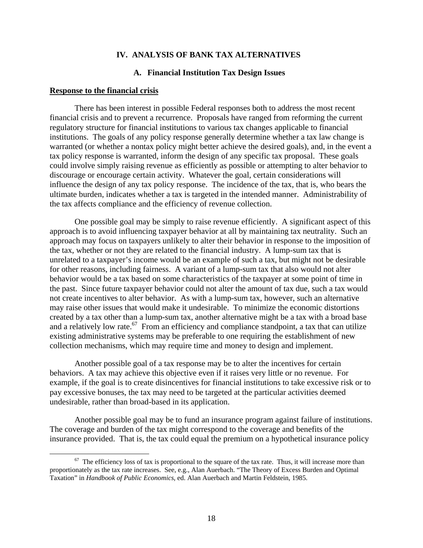#### **IV. ANALYSIS OF BANK TAX ALTERNATIVES**

#### **A. Financial Institution Tax Design Issues**

#### **Response to the financial crisis**

There has been interest in possible Federal responses both to address the most recent financial crisis and to prevent a recurrence. Proposals have ranged from reforming the current regulatory structure for financial institutions to various tax changes applicable to financial institutions. The goals of any policy response generally determine whether a tax law change is warranted (or whether a nontax policy might better achieve the desired goals), and, in the event a tax policy response is warranted, inform the design of any specific tax proposal. These goals could involve simply raising revenue as efficiently as possible or attempting to alter behavior to discourage or encourage certain activity. Whatever the goal, certain considerations will influence the design of any tax policy response. The incidence of the tax, that is, who bears the ultimate burden, indicates whether a tax is targeted in the intended manner. Administrability of the tax affects compliance and the efficiency of revenue collection.

One possible goal may be simply to raise revenue efficiently. A significant aspect of this approach is to avoid influencing taxpayer behavior at all by maintaining tax neutrality. Such an approach may focus on taxpayers unlikely to alter their behavior in response to the imposition of the tax, whether or not they are related to the financial industry. A lump-sum tax that is unrelated to a taxpayer's income would be an example of such a tax, but might not be desirable for other reasons, including fairness. A variant of a lump-sum tax that also would not alter behavior would be a tax based on some characteristics of the taxpayer at some point of time in the past. Since future taxpayer behavior could not alter the amount of tax due, such a tax would not create incentives to alter behavior. As with a lump-sum tax, however, such an alternative may raise other issues that would make it undesirable. To minimize the economic distortions created by a tax other than a lump-sum tax, another alternative might be a tax with a broad base and a relatively low rate.<sup>67</sup> From an efficiency and compliance standpoint, a tax that can utilize existing administrative systems may be preferable to one requiring the establishment of new collection mechanisms, which may require time and money to design and implement.

Another possible goal of a tax response may be to alter the incentives for certain behaviors. A tax may achieve this objective even if it raises very little or no revenue. For example, if the goal is to create disincentives for financial institutions to take excessive risk or to pay excessive bonuses, the tax may need to be targeted at the particular activities deemed undesirable, rather than broad-based in its application.

Another possible goal may be to fund an insurance program against failure of institutions. The coverage and burden of the tax might correspond to the coverage and benefits of the insurance provided. That is, the tax could equal the premium on a hypothetical insurance policy

 $67$  The efficiency loss of tax is proportional to the square of the tax rate. Thus, it will increase more than proportionately as the tax rate increases. See, e.g., Alan Auerbach. "The Theory of Excess Burden and Optimal Taxation" in *Handbook of Public Economics*, ed. Alan Auerbach and Martin Feldstein, 1985.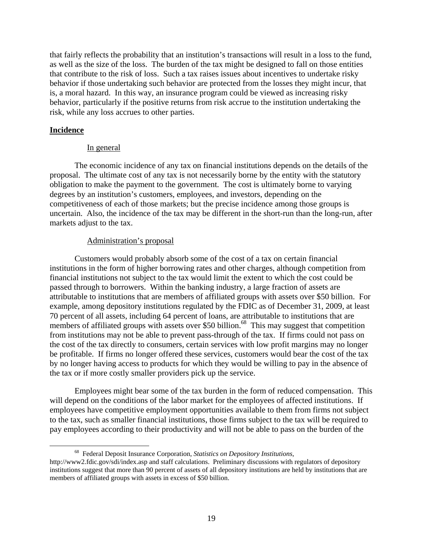that fairly reflects the probability that an institution's transactions will result in a loss to the fund, as well as the size of the loss. The burden of the tax might be designed to fall on those entities that contribute to the risk of loss. Such a tax raises issues about incentives to undertake risky behavior if those undertaking such behavior are protected from the losses they might incur, that is, a moral hazard. In this way, an insurance program could be viewed as increasing risky behavior, particularly if the positive returns from risk accrue to the institution undertaking the risk, while any loss accrues to other parties.

## **Incidence**

## In general

The economic incidence of any tax on financial institutions depends on the details of the proposal. The ultimate cost of any tax is not necessarily borne by the entity with the statutory obligation to make the payment to the government. The cost is ultimately borne to varying degrees by an institution's customers, employees, and investors, depending on the competitiveness of each of those markets; but the precise incidence among those groups is uncertain. Also, the incidence of the tax may be different in the short-run than the long-run, after markets adjust to the tax.

## Administration's proposal

Customers would probably absorb some of the cost of a tax on certain financial institutions in the form of higher borrowing rates and other charges, although competition from financial institutions not subject to the tax would limit the extent to which the cost could be passed through to borrowers. Within the banking industry, a large fraction of assets are attributable to institutions that are members of affiliated groups with assets over \$50 billion. For example, among depository institutions regulated by the FDIC as of December 31, 2009, at least 70 percent of all assets, including 64 percent of loans, are attributable to institutions that are members of affiliated groups with assets over \$50 billion.<sup>68</sup> This may suggest that competition from institutions may not be able to prevent pass-through of the tax. If firms could not pass on the cost of the tax directly to consumers, certain services with low profit margins may no longer be profitable. If firms no longer offered these services, customers would bear the cost of the tax by no longer having access to products for which they would be willing to pay in the absence of the tax or if more costly smaller providers pick up the service.

Employees might bear some of the tax burden in the form of reduced compensation. This will depend on the conditions of the labor market for the employees of affected institutions. If employees have competitive employment opportunities available to them from firms not subject to the tax, such as smaller financial institutions, those firms subject to the tax will be required to pay employees according to their productivity and will not be able to pass on the burden of the

 <sup>68</sup> Federal Deposit Insurance Corporation, *Statistics on Depository Institutions*, http://www2.fdic.gov/sdi/index.asp and staff calculations. Preliminary discussions with regulators of depository institutions suggest that more than 90 percent of assets of all depository institutions are held by institutions that are members of affiliated groups with assets in excess of \$50 billion.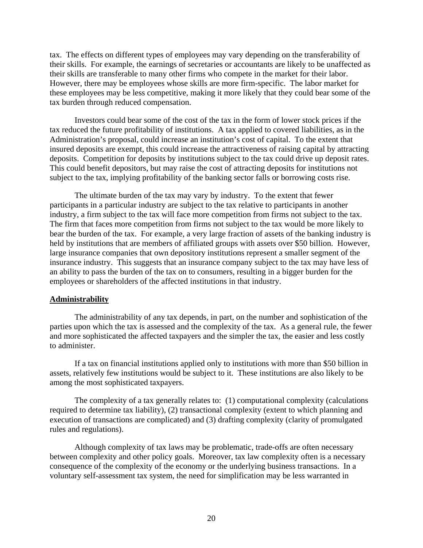tax. The effects on different types of employees may vary depending on the transferability of their skills. For example, the earnings of secretaries or accountants are likely to be unaffected as their skills are transferable to many other firms who compete in the market for their labor. However, there may be employees whose skills are more firm-specific. The labor market for these employees may be less competitive, making it more likely that they could bear some of the tax burden through reduced compensation.

Investors could bear some of the cost of the tax in the form of lower stock prices if the tax reduced the future profitability of institutions. A tax applied to covered liabilities, as in the Administration's proposal, could increase an institution's cost of capital. To the extent that insured deposits are exempt, this could increase the attractiveness of raising capital by attracting deposits. Competition for deposits by institutions subject to the tax could drive up deposit rates. This could benefit depositors, but may raise the cost of attracting deposits for institutions not subject to the tax, implying profitability of the banking sector falls or borrowing costs rise.

The ultimate burden of the tax may vary by industry. To the extent that fewer participants in a particular industry are subject to the tax relative to participants in another industry, a firm subject to the tax will face more competition from firms not subject to the tax. The firm that faces more competition from firms not subject to the tax would be more likely to bear the burden of the tax. For example, a very large fraction of assets of the banking industry is held by institutions that are members of affiliated groups with assets over \$50 billion. However, large insurance companies that own depository institutions represent a smaller segment of the insurance industry. This suggests that an insurance company subject to the tax may have less of an ability to pass the burden of the tax on to consumers, resulting in a bigger burden for the employees or shareholders of the affected institutions in that industry.

## **Administrability**

The administrability of any tax depends, in part, on the number and sophistication of the parties upon which the tax is assessed and the complexity of the tax. As a general rule, the fewer and more sophisticated the affected taxpayers and the simpler the tax, the easier and less costly to administer.

If a tax on financial institutions applied only to institutions with more than \$50 billion in assets, relatively few institutions would be subject to it. These institutions are also likely to be among the most sophisticated taxpayers.

The complexity of a tax generally relates to: (1) computational complexity (calculations required to determine tax liability), (2) transactional complexity (extent to which planning and execution of transactions are complicated) and (3) drafting complexity (clarity of promulgated rules and regulations).

Although complexity of tax laws may be problematic, trade-offs are often necessary between complexity and other policy goals. Moreover, tax law complexity often is a necessary consequence of the complexity of the economy or the underlying business transactions. In a voluntary self-assessment tax system, the need for simplification may be less warranted in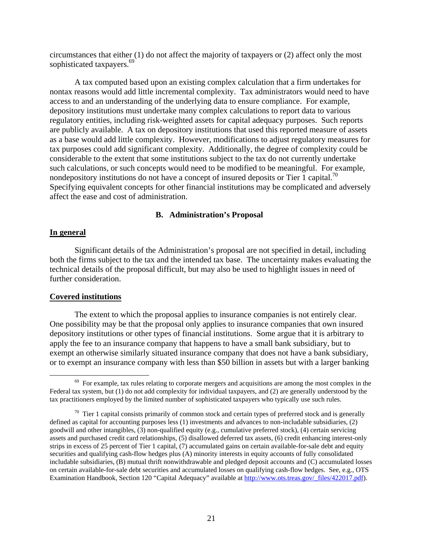circumstances that either (1) do not affect the majority of taxpayers or (2) affect only the most sophisticated taxpayers.<sup>69</sup>

A tax computed based upon an existing complex calculation that a firm undertakes for nontax reasons would add little incremental complexity. Tax administrators would need to have access to and an understanding of the underlying data to ensure compliance. For example, depository institutions must undertake many complex calculations to report data to various regulatory entities, including risk-weighted assets for capital adequacy purposes. Such reports are publicly available. A tax on depository institutions that used this reported measure of assets as a base would add little complexity. However, modifications to adjust regulatory measures for tax purposes could add significant complexity. Additionally, the degree of complexity could be considerable to the extent that some institutions subject to the tax do not currently undertake such calculations, or such concepts would need to be modified to be meaningful. For example, nondepository institutions do not have a concept of insured deposits or Tier 1 capital.<sup>70</sup> Specifying equivalent concepts for other financial institutions may be complicated and adversely affect the ease and cost of administration.

#### **B. Administration's Proposal**

## **In general**

Significant details of the Administration's proposal are not specified in detail, including both the firms subject to the tax and the intended tax base. The uncertainty makes evaluating the technical details of the proposal difficult, but may also be used to highlight issues in need of further consideration.

## **Covered institutions**

The extent to which the proposal applies to insurance companies is not entirely clear. One possibility may be that the proposal only applies to insurance companies that own insured depository institutions or other types of financial institutions. Some argue that it is arbitrary to apply the fee to an insurance company that happens to have a small bank subsidiary, but to exempt an otherwise similarly situated insurance company that does not have a bank subsidiary, or to exempt an insurance company with less than \$50 billion in assets but with a larger banking

 $69$  For example, tax rules relating to corporate mergers and acquisitions are among the most complex in the Federal tax system, but (1) do not add complexity for individual taxpayers, and (2) are generally understood by the tax practitioners employed by the limited number of sophisticated taxpayers who typically use such rules.

 $70$  Tier 1 capital consists primarily of common stock and certain types of preferred stock and is generally defined as capital for accounting purposes less (1) investments and advances to non-includable subsidiaries, (2) goodwill and other intangibles, (3) non-qualified equity (e.g., cumulative preferred stock), (4) certain servicing assets and purchased credit card relationships, (5) disallowed deferred tax assets, (6) credit enhancing interest-only strips in excess of 25 percent of Tier 1 capital, (7) accumulated gains on certain available-for-sale debt and equity securities and qualifying cash-flow hedges plus (A) minority interests in equity accounts of fully consolidated includable subsidiaries, (B) mutual thrift nonwithdrawable and pledged deposit accounts and (C) accumulated losses on certain available-for-sale debt securities and accumulated losses on qualifying cash-flow hedges. See, e.g., OTS Examination Handbook, Section 120 "Capital Adequacy" available at http://www.ots.treas.gov/files/422017.pdf).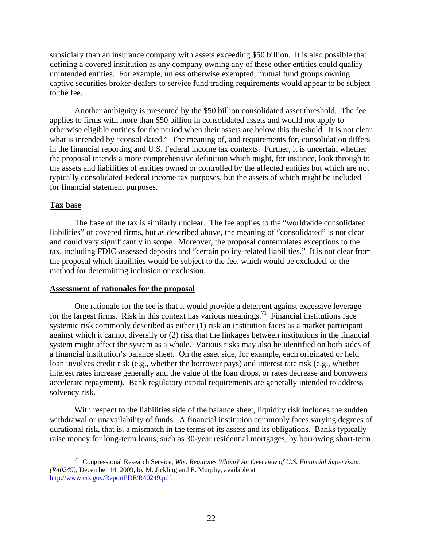subsidiary than an insurance company with assets exceeding \$50 billion. It is also possible that defining a covered institution as any company owning any of these other entities could qualify unintended entities. For example, unless otherwise exempted, mutual fund groups owning captive securities broker-dealers to service fund trading requirements would appear to be subject to the fee.

Another ambiguity is presented by the \$50 billion consolidated asset threshold. The fee applies to firms with more than \$50 billion in consolidated assets and would not apply to otherwise eligible entities for the period when their assets are below this threshold. It is not clear what is intended by "consolidated." The meaning of, and requirements for, consolidation differs in the financial reporting and U.S. Federal income tax contexts. Further, it is uncertain whether the proposal intends a more comprehensive definition which might, for instance, look through to the assets and liabilities of entities owned or controlled by the affected entities but which are not typically consolidated Federal income tax purposes, but the assets of which might be included for financial statement purposes.

## **Tax base**

The base of the tax is similarly unclear. The fee applies to the "worldwide consolidated liabilities" of covered firms, but as described above, the meaning of "consolidated" is not clear and could vary significantly in scope. Moreover, the proposal contemplates exceptions to the tax, including FDIC-assessed deposits and "certain policy-related liabilities." It is not clear from the proposal which liabilities would be subject to the fee, which would be excluded, or the method for determining inclusion or exclusion.

## **Assessment of rationales for the proposal**

One rationale for the fee is that it would provide a deterrent against excessive leverage for the largest firms. Risk in this context has various meanings.<sup>71</sup> Financial institutions face systemic risk commonly described as either (1) risk an institution faces as a market participant against which it cannot diversify or (2) risk that the linkages between institutions in the financial system might affect the system as a whole. Various risks may also be identified on both sides of a financial institution's balance sheet. On the asset side, for example, each originated or held loan involves credit risk (e.g., whether the borrower pays) and interest rate risk (e.g., whether interest rates increase generally and the value of the loan drops, or rates decrease and borrowers accelerate repayment). Bank regulatory capital requirements are generally intended to address solvency risk.

With respect to the liabilities side of the balance sheet, liquidity risk includes the sudden withdrawal or unavailability of funds. A financial institution commonly faces varying degrees of durational risk, that is, a mismatch in the terms of its assets and its obligations. Banks typically raise money for long-term loans, such as 30-year residential mortgages, by borrowing short-term

 <sup>71</sup> Congressional Research Service, *Who Regulates Whom? An Overview of U.S. Financial Supervision (R40249),* December 14, 2009, by M. Jickling and E. Murphy, available at http://www.crs.gov/ReportPDF/R40249.pdf.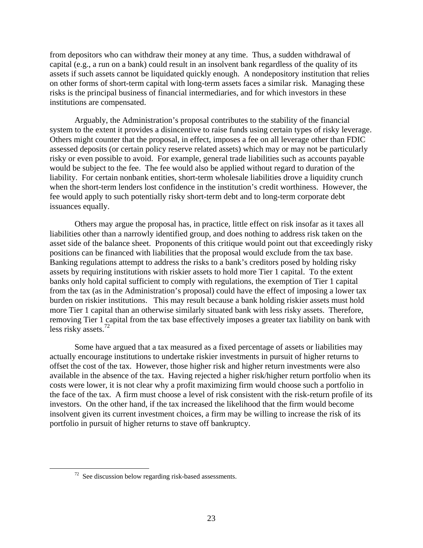from depositors who can withdraw their money at any time. Thus, a sudden withdrawal of capital (e.g., a run on a bank) could result in an insolvent bank regardless of the quality of its assets if such assets cannot be liquidated quickly enough. A nondepository institution that relies on other forms of short-term capital with long-term assets faces a similar risk. Managing these risks is the principal business of financial intermediaries, and for which investors in these institutions are compensated.

Arguably, the Administration's proposal contributes to the stability of the financial system to the extent it provides a disincentive to raise funds using certain types of risky leverage. Others might counter that the proposal, in effect, imposes a fee on all leverage other than FDIC assessed deposits (or certain policy reserve related assets) which may or may not be particularly risky or even possible to avoid. For example, general trade liabilities such as accounts payable would be subject to the fee. The fee would also be applied without regard to duration of the liability. For certain nonbank entities, short-term wholesale liabilities drove a liquidity crunch when the short-term lenders lost confidence in the institution's credit worthiness. However, the fee would apply to such potentially risky short-term debt and to long-term corporate debt issuances equally.

Others may argue the proposal has, in practice, little effect on risk insofar as it taxes all liabilities other than a narrowly identified group, and does nothing to address risk taken on the asset side of the balance sheet. Proponents of this critique would point out that exceedingly risky positions can be financed with liabilities that the proposal would exclude from the tax base. Banking regulations attempt to address the risks to a bank's creditors posed by holding risky assets by requiring institutions with riskier assets to hold more Tier 1 capital. To the extent banks only hold capital sufficient to comply with regulations, the exemption of Tier 1 capital from the tax (as in the Administration's proposal) could have the effect of imposing a lower tax burden on riskier institutions. This may result because a bank holding riskier assets must hold more Tier 1 capital than an otherwise similarly situated bank with less risky assets. Therefore, removing Tier 1 capital from the tax base effectively imposes a greater tax liability on bank with less risky assets.<sup>72</sup>

Some have argued that a tax measured as a fixed percentage of assets or liabilities may actually encourage institutions to undertake riskier investments in pursuit of higher returns to offset the cost of the tax. However, those higher risk and higher return investments were also available in the absence of the tax. Having rejected a higher risk/higher return portfolio when its costs were lower, it is not clear why a profit maximizing firm would choose such a portfolio in the face of the tax. A firm must choose a level of risk consistent with the risk-return profile of its investors. On the other hand, if the tax increased the likelihood that the firm would become insolvent given its current investment choices, a firm may be willing to increase the risk of its portfolio in pursuit of higher returns to stave off bankruptcy.

 $72$  See discussion below regarding risk-based assessments.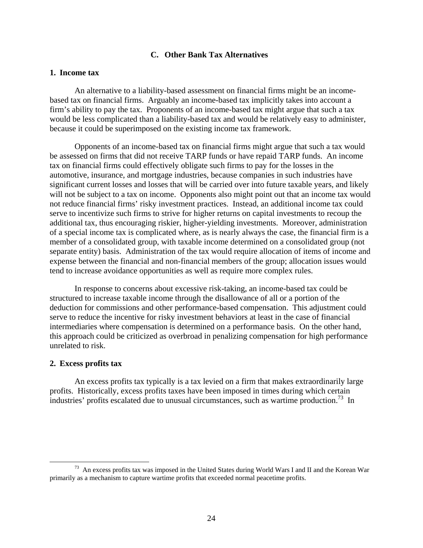#### **C. Other Bank Tax Alternatives**

## **1. Income tax**

An alternative to a liability-based assessment on financial firms might be an incomebased tax on financial firms. Arguably an income-based tax implicitly takes into account a firm's ability to pay the tax. Proponents of an income-based tax might argue that such a tax would be less complicated than a liability-based tax and would be relatively easy to administer, because it could be superimposed on the existing income tax framework.

Opponents of an income-based tax on financial firms might argue that such a tax would be assessed on firms that did not receive TARP funds or have repaid TARP funds. An income tax on financial firms could effectively obligate such firms to pay for the losses in the automotive, insurance, and mortgage industries, because companies in such industries have significant current losses and losses that will be carried over into future taxable years, and likely will not be subject to a tax on income. Opponents also might point out that an income tax would not reduce financial firms' risky investment practices. Instead, an additional income tax could serve to incentivize such firms to strive for higher returns on capital investments to recoup the additional tax, thus encouraging riskier, higher-yielding investments. Moreover, administration of a special income tax is complicated where, as is nearly always the case, the financial firm is a member of a consolidated group, with taxable income determined on a consolidated group (not separate entity) basis. Administration of the tax would require allocation of items of income and expense between the financial and non-financial members of the group; allocation issues would tend to increase avoidance opportunities as well as require more complex rules.

In response to concerns about excessive risk-taking, an income-based tax could be structured to increase taxable income through the disallowance of all or a portion of the deduction for commissions and other performance-based compensation. This adjustment could serve to reduce the incentive for risky investment behaviors at least in the case of financial intermediaries where compensation is determined on a performance basis. On the other hand, this approach could be criticized as overbroad in penalizing compensation for high performance unrelated to risk.

#### **2. Excess profits tax**

An excess profits tax typically is a tax levied on a firm that makes extraordinarily large profits. Historically, excess profits taxes have been imposed in times during which certain industries' profits escalated due to unusual circumstances, such as wartime production.<sup>73</sup> In

 <sup>73</sup> An excess profits tax was imposed in the United States during World Wars I and II and the Korean War primarily as a mechanism to capture wartime profits that exceeded normal peacetime profits.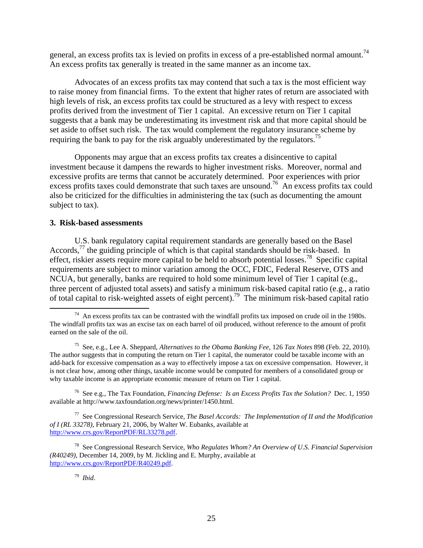general, an excess profits tax is levied on profits in excess of a pre-established normal amount.<sup>74</sup> An excess profits tax generally is treated in the same manner as an income tax.

Advocates of an excess profits tax may contend that such a tax is the most efficient way to raise money from financial firms. To the extent that higher rates of return are associated with high levels of risk, an excess profits tax could be structured as a levy with respect to excess profits derived from the investment of Tier 1 capital. An excessive return on Tier 1 capital suggests that a bank may be underestimating its investment risk and that more capital should be set aside to offset such risk. The tax would complement the regulatory insurance scheme by requiring the bank to pay for the risk arguably underestimated by the regulators.<sup>75</sup>

Opponents may argue that an excess profits tax creates a disincentive to capital investment because it dampens the rewards to higher investment risks. Moreover, normal and excessive profits are terms that cannot be accurately determined. Poor experiences with prior excess profits taxes could demonstrate that such taxes are unsound.<sup>76</sup> An excess profits tax could also be criticized for the difficulties in administering the tax (such as documenting the amount subject to tax).

# **3. Risk-based assessments**

U.S. bank regulatory capital requirement standards are generally based on the Basel Accords,<sup>77</sup> the guiding principle of which is that capital standards should be risk-based. In effect, riskier assets require more capital to be held to absorb potential losses.78 Specific capital requirements are subject to minor variation among the OCC, FDIC, Federal Reserve, OTS and NCUA, but generally, banks are required to hold some minimum level of Tier 1 capital (e.g., three percent of adjusted total assets) and satisfy a minimum risk-based capital ratio (e.g., a ratio of total capital to risk-weighted assets of eight percent).79 The minimum risk-based capital ratio

76 See e.g., The Tax Foundation, *Financing Defense: Is an Excess Profits Tax the Solution?* Dec. 1, 1950 available at http://www.taxfoundation.org/news/printer/1450.html.

77 See Congressional Research Service, *The Basel Accords: The Implementation of II and the Modification of I (RL 33278)*, February 21, 2006, by Walter W. Eubanks, available at http://www.crs.gov/ReportPDF/RL33278.pdf.

78 See Congressional Research Service, *Who Regulates Whom? An Overview of U.S. Financial Supervision (R40249),* December 14, 2009, by M. Jickling and E. Murphy, available at http://www.crs.gov/ReportPDF/R40249.pdf.

 $74$  An excess profits tax can be contrasted with the windfall profits tax imposed on crude oil in the 1980s. The windfall profits tax was an excise tax on each barrel of oil produced, without reference to the amount of profit earned on the sale of the oil.

<sup>75</sup> See, e.g., Lee A. Sheppard, *Alternatives to the Obama Banking Fee,* 126 *Tax Notes* 898 (Feb. 22, 2010). The author suggests that in computing the return on Tier 1 capital, the numerator could be taxable income with an add-back for excessive compensation as a way to effectively impose a tax on excessive compensation. However, it is not clear how, among other things, taxable income would be computed for members of a consolidated group or why taxable income is an appropriate economic measure of return on Tier 1 capital.

<sup>79</sup> *Ibid*.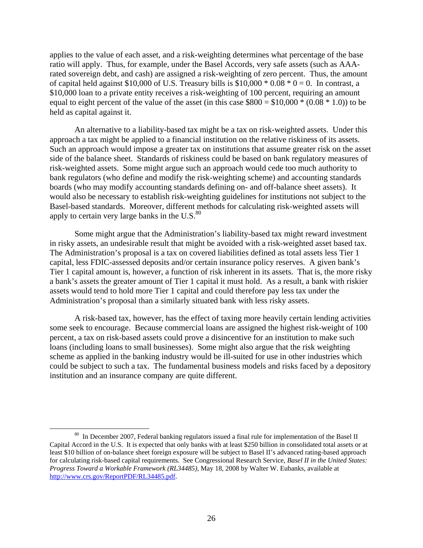applies to the value of each asset, and a risk-weighting determines what percentage of the base ratio will apply. Thus, for example, under the Basel Accords, very safe assets (such as AAArated sovereign debt, and cash) are assigned a risk-weighting of zero percent. Thus, the amount of capital held against \$10,000 of U.S. Treasury bills is  $$10,000 * 0.08 * 0 = 0$ . In contrast, a \$10,000 loan to a private entity receives a risk-weighting of 100 percent, requiring an amount equal to eight percent of the value of the asset (in this case  $$800 = $10,000 * (0.08 * 1.0)$ ) to be held as capital against it.

An alternative to a liability-based tax might be a tax on risk-weighted assets. Under this approach a tax might be applied to a financial institution on the relative riskiness of its assets. Such an approach would impose a greater tax on institutions that assume greater risk on the asset side of the balance sheet. Standards of riskiness could be based on bank regulatory measures of risk-weighted assets. Some might argue such an approach would cede too much authority to bank regulators (who define and modify the risk-weighting scheme) and accounting standards boards (who may modify accounting standards defining on- and off-balance sheet assets). It would also be necessary to establish risk-weighting guidelines for institutions not subject to the Basel-based standards. Moreover, different methods for calculating risk-weighted assets will apply to certain very large banks in the  $U.S.^{80}$ 

Some might argue that the Administration's liability-based tax might reward investment in risky assets, an undesirable result that might be avoided with a risk-weighted asset based tax. The Administration's proposal is a tax on covered liabilities defined as total assets less Tier 1 capital, less FDIC-assessed deposits and/or certain insurance policy reserves. A given bank's Tier 1 capital amount is, however, a function of risk inherent in its assets. That is, the more risky a bank's assets the greater amount of Tier 1 capital it must hold. As a result, a bank with riskier assets would tend to hold more Tier 1 capital and could therefore pay less tax under the Administration's proposal than a similarly situated bank with less risky assets.

A risk-based tax, however, has the effect of taxing more heavily certain lending activities some seek to encourage. Because commercial loans are assigned the highest risk-weight of 100 percent, a tax on risk-based assets could prove a disincentive for an institution to make such loans (including loans to small businesses). Some might also argue that the risk weighting scheme as applied in the banking industry would be ill-suited for use in other industries which could be subject to such a tax. The fundamental business models and risks faced by a depository institution and an insurance company are quite different.

<sup>&</sup>lt;sup>80</sup> In December 2007, Federal banking regulators issued a final rule for implementation of the Basel II Capital Accord in the U.S. It is expected that only banks with at least \$250 billion in consolidated total assets or at least \$10 billion of on-balance sheet foreign exposure will be subject to Basel II's advanced rating-based approach for calculating risk-based capital requirements. See Congressional Research Service, *Basel II in the United States: Progress Toward a Workable Framework (RL34485)*, May 18, 2008 by Walter W. Eubanks, available at http://www.crs.gov/ReportPDF/RL34485.pdf.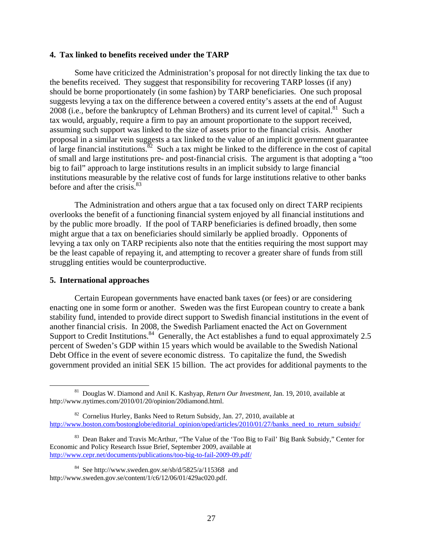#### **4. Tax linked to benefits received under the TARP**

Some have criticized the Administration's proposal for not directly linking the tax due to the benefits received. They suggest that responsibility for recovering TARP losses (if any) should be borne proportionately (in some fashion) by TARP beneficiaries. One such proposal suggests levying a tax on the difference between a covered entity's assets at the end of August 2008 (i.e., before the bankruptcy of Lehman Brothers) and its current level of capital.<sup>81</sup> Such a tax would, arguably, require a firm to pay an amount proportionate to the support received, assuming such support was linked to the size of assets prior to the financial crisis. Another proposal in a similar vein suggests a tax linked to the value of an implicit government guarantee of large financial institutions.<sup>82</sup> Such a tax might be linked to the difference in the cost of capital of small and large institutions pre- and post-financial crisis. The argument is that adopting a "too big to fail" approach to large institutions results in an implicit subsidy to large financial institutions measurable by the relative cost of funds for large institutions relative to other banks before and after the crisis. $83$ 

The Administration and others argue that a tax focused only on direct TARP recipients overlooks the benefit of a functioning financial system enjoyed by all financial institutions and by the public more broadly. If the pool of TARP beneficiaries is defined broadly, then some might argue that a tax on beneficiaries should similarly be applied broadly. Opponents of levying a tax only on TARP recipients also note that the entities requiring the most support may be the least capable of repaying it, and attempting to recover a greater share of funds from still struggling entities would be counterproductive.

## **5. International approaches**

Certain European governments have enacted bank taxes (or fees) or are considering enacting one in some form or another. Sweden was the first European country to create a bank stability fund, intended to provide direct support to Swedish financial institutions in the event of another financial crisis. In 2008, the Swedish Parliament enacted the Act on Government Support to Credit Institutions.<sup>84</sup> Generally, the Act establishes a fund to equal approximately 2.5 percent of Sweden's GDP within 15 years which would be available to the Swedish National Debt Office in the event of severe economic distress. To capitalize the fund, the Swedish government provided an initial SEK 15 billion. The act provides for additional payments to the

 <sup>81</sup> Douglas W. Diamond and Anil K. Kashyap*, Return Our Investment*, Jan. 19, 2010, available at http://www.nytimes.com/2010/01/20/opinion/20diamond.html.

 $82$  Cornelius Hurley, Banks Need to Return Subsidy, Jan. 27, 2010, available at http://www.boston.com/bostonglobe/editorial\_opinion/oped/articles/2010/01/27/banks\_need\_to\_return\_subsidy/

<sup>&</sup>lt;sup>83</sup> Dean Baker and Travis McArthur, "The Value of the 'Too Big to Fail' Big Bank Subsidy," Center for Economic and Policy Research Issue Brief, September 2009, available at http://www.cepr.net/documents/publications/too-big-to-fail-2009-09.pdf/

 $84$  See http://www.sweden.gov.se/sb/d/5825/a/115368 and http://www.sweden.gov.se/content/1/c6/12/06/01/429ac020.pdf.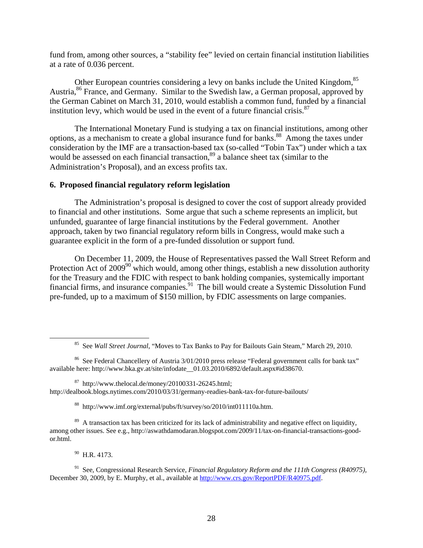fund from, among other sources, a "stability fee" levied on certain financial institution liabilities at a rate of 0.036 percent.

Other European countries considering a levy on banks include the United Kingdom,<sup>85</sup> Austria, <sup>86</sup> France, and Germany. Similar to the Swedish law, a German proposal, approved by the German Cabinet on March 31, 2010, would establish a common fund, funded by a financial institution levy, which would be used in the event of a future financial crisis. $87$ 

The International Monetary Fund is studying a tax on financial institutions, among other options, as a mechanism to create a global insurance fund for banks.<sup>88</sup> Among the taxes under consideration by the IMF are a transaction-based tax (so-called "Tobin Tax") under which a tax would be assessed on each financial transaction,<sup>89</sup> a balance sheet tax (similar to the Administration's Proposal), and an excess profits tax.

#### **6. Proposed financial regulatory reform legislation**

The Administration's proposal is designed to cover the cost of support already provided to financial and other institutions. Some argue that such a scheme represents an implicit, but unfunded, guarantee of large financial institutions by the Federal government. Another approach, taken by two financial regulatory reform bills in Congress, would make such a guarantee explicit in the form of a pre-funded dissolution or support fund.

On December 11, 2009, the House of Representatives passed the Wall Street Reform and Protection Act of  $2009^{90}$  which would, among other things, establish a new dissolution authority for the Treasury and the FDIC with respect to bank holding companies, systemically important financial firms, and insurance companies.91 The bill would create a Systemic Dissolution Fund pre-funded, up to a maximum of \$150 million, by FDIC assessments on large companies.

88 http://www.imf.org/external/pubs/ft/survey/so/2010/int011110a.htm.

<sup>89</sup> A transaction tax has been criticized for its lack of administrability and negative effect on liquidity, among other issues. See e.g., http://aswathdamodaran.blogspot.com/2009/11/tax-on-financial-transactions-goodor.html.

 $90$  H.R. 4173.

91 See, Congressional Research Service, *Financial Regulatory Reform and the 111th Congress (R40975),* December 30, 2009, by E. Murphy, et al., available at http://www.crs.gov/ReportPDF/R40975.pdf.

 <sup>85</sup> See *Wall Street Journal*, "Moves to Tax Banks to Pay for Bailouts Gain Steam," March 29, 2010.

<sup>&</sup>lt;sup>86</sup> See Federal Chancellery of Austria 3/01/2010 press release "Federal government calls for bank tax" available here: http://www.bka.gv.at/site/infodate 01.03.2010/6892/default.aspx#id38670.

 $87$  http://www.thelocal.de/money/20100331-26245.html; http://dealbook.blogs.nytimes.com/2010/03/31/germany-readies-bank-tax-for-future-bailouts/